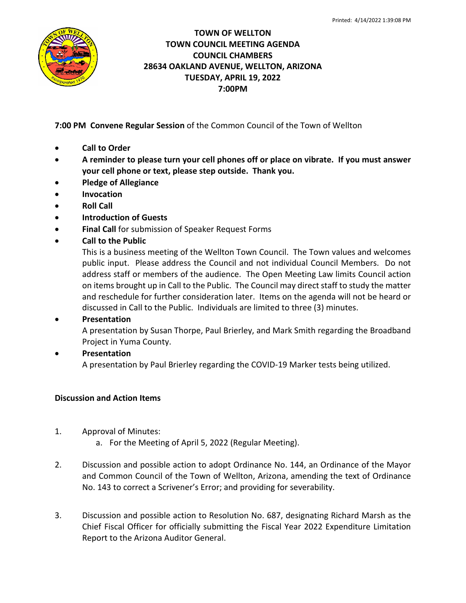

# **TOWN OF WELLTON TOWN COUNCIL MEETING AGENDA COUNCIL CHAMBERS 28634 OAKLAND AVENUE, WELLTON, ARIZONA TUESDAY, APRIL 19, 2022 7:00PM**

**7:00 PM Convene Regular Session** of the Common Council of the Town of Wellton

- **Call to Order**
- **A reminder to please turn your cell phones off or place on vibrate. If you must answer your cell phone or text, please step outside. Thank you.**
- **Pledge of Allegiance**
- **Invocation**
- **Roll Call**
- **Introduction of Guests**
- **Final Call** for submission of Speaker Request Forms
- **Call to the Public**

This is a business meeting of the Wellton Town Council. The Town values and welcomes public input. Please address the Council and not individual Council Members. Do not address staff or members of the audience. The Open Meeting Law limits Council action on items brought up in Call to the Public. The Council may direct staff to study the matter and reschedule for further consideration later. Items on the agenda will not be heard or discussed in Call to the Public. Individuals are limited to three (3) minutes.

# • **Presentation**

A presentation by Susan Thorpe, Paul Brierley, and Mark Smith regarding the Broadband Project in Yuma County.

• **Presentation**

A presentation by Paul Brierley regarding the COVID-19 Marker tests being utilized.

# **Discussion and Action Items**

- 1. Approval of Minutes:
	- a. For the Meeting of April 5, 2022 (Regular Meeting).
- 2. Discussion and possible action to adopt Ordinance No. 144, an Ordinance of the Mayor and Common Council of the Town of Wellton, Arizona, amending the text of Ordinance No. 143 to correct a Scrivener's Error; and providing for severability.
- 3. Discussion and possible action to Resolution No. 687, designating Richard Marsh as the Chief Fiscal Officer for officially submitting the Fiscal Year 2022 Expenditure Limitation Report to the Arizona Auditor General.